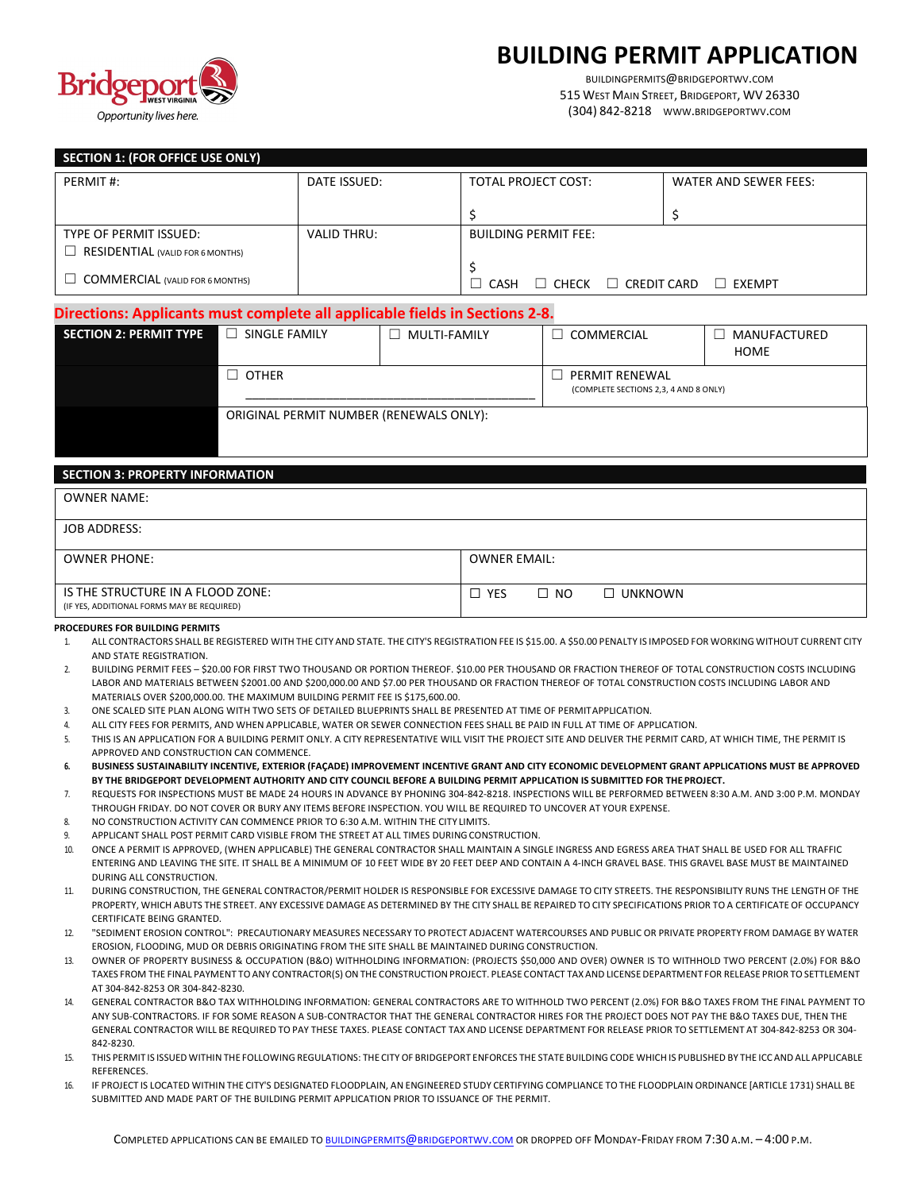



BUILDINGPERMITS@BRIDGEPORTWV.COM 515 WEST MAIN STREET, BRIDGEPORT, WV 26330 (304) 842-8218 WWW.BRIDGEPORTWV.COM

| SECTION 1: (FOR OFFICE USE ONLY)        |                    |                                                      |                       |
|-----------------------------------------|--------------------|------------------------------------------------------|-----------------------|
| PERMIT#:                                | DATE ISSUED:       | TOTAL PROJECT COST:                                  | WATER AND SEWER FEES: |
|                                         |                    |                                                      |                       |
| TYPE OF PERMIT ISSUED:                  | <b>VALID THRU:</b> | <b>BUILDING PERMIT FEE:</b>                          |                       |
| <b>RESIDENTIAL (VALID FOR 6 MONTHS)</b> |                    |                                                      |                       |
| <b>COMMERCIAL (VALID FOR 6 MONTHS)</b>  |                    | CREDIT CARD<br>$\Box$<br>$\Box$ CHECK<br><b>CASH</b> | EXEMPT<br>$\perp$     |

### **Directions: Applicants must complete all applicable fields in Sections 2-8.**

| <b>SECTION 2: PERMIT TYPE</b> | SINGLE FAMILY<br>$\perp$                | MULTI-FAMILY<br>$\overline{\phantom{0}}$ | COMMERCIAL                                              | MANUFACTURED<br><b>HOME</b> |
|-------------------------------|-----------------------------------------|------------------------------------------|---------------------------------------------------------|-----------------------------|
|                               | $\Box$ other                            |                                          | PERMIT RENEWAL<br>(COMPLETE SECTIONS 2,3, 4 AND 8 ONLY) |                             |
|                               | ORIGINAL PERMIT NUMBER (RENEWALS ONLY): |                                          |                                                         |                             |

#### **SECTION 3: PROPERTY INFORMATION**

| <b>OWNER NAME:</b>                                                              |                                              |
|---------------------------------------------------------------------------------|----------------------------------------------|
| <b>JOB ADDRESS:</b>                                                             |                                              |
| <b>OWNER PHONE:</b>                                                             | <b>OWNER EMAIL:</b>                          |
| IS THE STRUCTURE IN A FLOOD ZONE:<br>(IF YES, ADDITIONAL FORMS MAY BE REQUIRED) | $\square$ NO<br>$\Box$ UNKNOWN<br>$\Box$ YES |

#### **PROCEDURES FOR BUILDING PERMITS**

- 1. ALL CONTRACTORS SHALL BE REGISTERED WITH THE CITY AND STATE. THE CITY'S REGISTRATION FEE IS \$15.00. A \$50.00 PENALTY IS IMPOSED FOR WORKING WITHOUT CURRENT CITY AND STATE REGISTRATION.
- 2. BUILDING PERMIT FEES \$20.00 FOR FIRST TWO THOUSAND OR PORTION THEREOF. \$10.00 PER THOUSAND OR FRACTION THEREOF OF TOTAL CONSTRUCTION COSTS INCLUDING LABOR AND MATERIALS BETWEEN \$2001.00 AND \$200,000.00 AND \$7.00 PER THOUSAND OR FRACTION THEREOF OF TOTAL CONSTRUCTION COSTS INCLUDING LABOR AND MATERIALS OVER \$200,000.00. THE MAXIMUM BUILDING PERMIT FEE IS \$175,600.00.
- 3. ONE SCALED SITE PLAN ALONG WITH TWO SETS OF DETAILED BLUEPRINTS SHALL BE PRESENTED AT TIME OF PERMITAPPLICATION.
- 4. ALL CITY FEES FOR PERMITS, AND WHEN APPLICABLE, WATER OR SEWER CONNECTION FEES SHALL BE PAID IN FULL AT TIME OF APPLICATION.
- 5. THIS IS AN APPLICATION FOR A BUILDING PERMIT ONLY. A CITY REPRESENTATIVE WILL VISIT THE PROJECT SITE AND DELIVER THE PERMIT CARD, AT WHICH TIME, THE PERMIT IS APPROVED AND CONSTRUCTION CAN COMMENCE.
- **6. BUSINESS SUSTAINABILITY INCENTIVE, EXTERIOR (FAÇADE) IMPROVEMENT INCENTIVE GRANT AND CITY ECONOMIC DEVELOPMENT GRANT APPLICATIONS MUST BE APPROVED BY THE BRIDGEPORT DEVELOPMENT AUTHORITY AND CITY COUNCIL BEFORE A BUILDING PERMIT APPLICATION IS SUBMITTED FOR THE PROJECT.**
- 7. REQUESTS FOR INSPECTIONS MUST BE MADE 24 HOURS IN ADVANCE BY PHONING 304-842-8218. INSPECTIONS WILL BE PERFORMED BETWEEN 8:30 A.M. AND 3:00 P.M. MONDAY THROUGH FRIDAY. DO NOT COVER OR BURY ANY ITEMS BEFORE INSPECTION. YOU WILL BE REQUIRED TO UNCOVER AT YOUR EXPENSE.
- 8. NO CONSTRUCTION ACTIVITY CAN COMMENCE PRIOR TO 6:30 A.M. WITHIN THE CITY LIMITS.
- 9. APPLICANT SHALL POST PERMIT CARD VISIBLE FROM THE STREET AT ALL TIMES DURINGCONSTRUCTION.
- 10. ONCE A PERMIT IS APPROVED, (WHEN APPLICABLE) THE GENERAL CONTRACTOR SHALL MAINTAIN A SINGLE INGRESS AND EGRESS AREA THAT SHALL BE USED FOR ALL TRAFFIC ENTERING AND LEAVING THE SITE. IT SHALL BE A MINIMUM OF 10 FEET WIDE BY 20 FEET DEEP AND CONTAIN A 4-INCH GRAVEL BASE. THIS GRAVEL BASE MUST BE MAINTAINED DURING ALL CONSTRUCTION.
- 11. DURING CONSTRUCTION, THE GENERAL CONTRACTOR/PERMIT HOLDER IS RESPONSIBLE FOR EXCESSIVE DAMAGE TO CITY STREETS. THE RESPONSIBILITY RUNS THE LENGTH OF THE PROPERTY, WHICH ABUTS THE STREET. ANY EXCESSIVE DAMAGE AS DETERMINED BY THE CITY SHALL BE REPAIRED TO CITY SPECIFICATIONS PRIOR TO A CERTIFICATE OF OCCUPANCY CERTIFICATE BEING GRANTED.
- 12. "SEDIMENT EROSION CONTROL": PRECAUTIONARY MEASURES NECESSARY TO PROTECT ADJACENT WATERCOURSES AND PUBLIC OR PRIVATE PROPERTY FROM DAMAGE BY WATER EROSION, FLOODING, MUD OR DEBRIS ORIGINATING FROM THE SITE SHALL BE MAINTAINED DURING CONSTRUCTION.
- 13. OWNER OF PROPERTY BUSINESS & OCCUPATION (B&O) WITHHOLDING INFORMATION: (PROJECTS \$50,000 AND OVER) OWNER IS TO WITHHOLD TWO PERCENT (2.0%) FOR B&O TAXES FROM THE FINAL PAYMENT TOANY CONTRACTOR(S) ON THE CONSTRUCTIONPROJECT. PLEASE CONTACT TAX AND LICENSEDEPARTMENT FOR RELEASE PRIOR TOSETTLEMENT AT 304-842-8253 OR 304-842-8230.
- 14. GENERAL CONTRACTOR B&O TAX WITHHOLDING INFORMATION: GENERAL CONTRACTORS ARE TO WITHHOLD TWO PERCENT (2.0%) FOR B&O TAXES FROM THE FINAL PAYMENT TO ANY SUB-CONTRACTORS. IF FOR SOME REASON A SUB-CONTRACTOR THAT THE GENERAL CONTRACTOR HIRES FOR THE PROJECT DOES NOT PAY THE B&O TAXES DUE, THEN THE GENERAL CONTRACTOR WILL BE REQUIRED TO PAY THESE TAXES. PLEASE CONTACT TAX AND LICENSE DEPARTMENT FOR RELEASE PRIOR TO SETTLEMENT AT 304-842-8253 OR 304- 842-8230.
- 15. THIS PERMIT IS ISSUED WITHIN THE FOLLOWING REGULATIONS: THE CITY OF BRIDGEPORT ENFORCES THE STATE BUILDING CODE WHICH IS PUBLISHED BY THE ICC AND ALL APPLICABLE REFERENCES.
- 16. IF PROJECT IS LOCATED WITHIN THE CITY'S DESIGNATED FLOODPLAIN, AN ENGINEERED STUDY CERTIFYING COMPLIANCE TOTHE FLOODPLAIN ORDINANCE [ARTICLE 1731) SHALL BE SUBMITTED AND MADE PART OF THE BUILDING PERMIT APPLICATION PRIOR TO ISSUANCE OF THE PERMIT.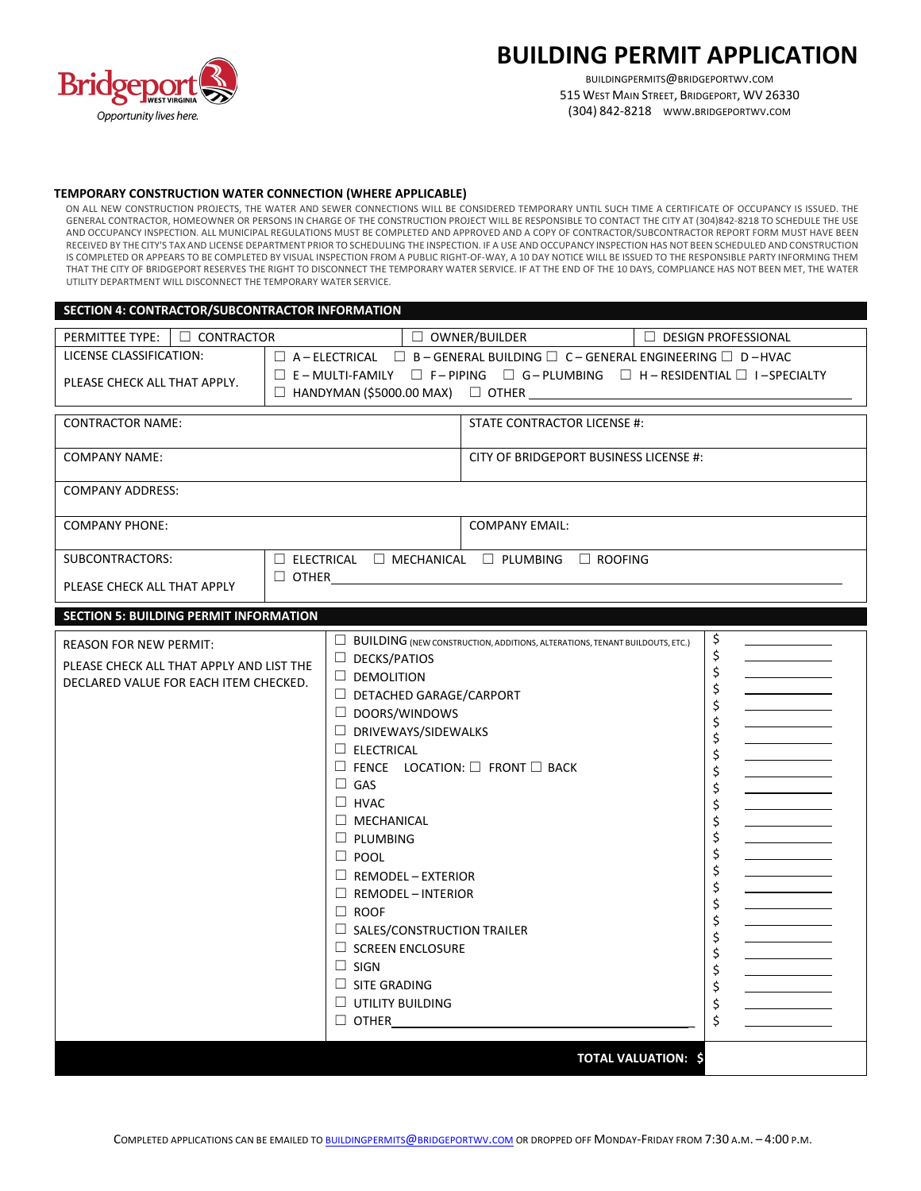

# **BUILDING PERMIT APPLICATION**

BUILDINGPERMITS@BRIDGEPORTWV.COM 515 WEST MAIN STREET, BRIDGEPORT, WV 26330 (304) 842-8218 WWW.BRIDGEPORTWV.COM

### **TEMPORARY CONSTRUCTION WATER CONNECTION (WHERE APPLICABLE)**

ON ALL NEW CONSTRUCTION PROJECTS, THE WATER AND SEWER CONNECTIONS WILL BE CONSIDERED TEMPORARY UNTIL SUCH TIME A CERTIFICATE OF OCCUPANCY IS ISSUED. THE GENERAL CONTRACTOR, HOMEOWNER OR PERSONS IN CHARGE OF THE CONSTRUCTION PROJECT WILL BE RESPONSIBLE TO CONTACT THE CITY AT (304)842-8218 TO SCHEDULE THE USE AND OCCUPANCY INSPECTION. ALL MUNICIPAL REGULATIONS MUST BE COMPLETED AND APPROVED AND A COPY OF CONTRACTOR/SUBCONTRACTOR REPORT FORM MUST HAVE BEEN RECEIVED BY THE CITY'S TAX AND LICENSE DEPARTMENT PRIOR TOSCHEDULING THE INSPECTION. IF A USE AND OCCUPANCY INSPECTION HAS NOT BEEN SCHEDULED AND CONSTRUCTION IS COMPLETED OR APPEARS TO BE COMPLETED BY VISUAL INSPECTION FROM A PUBLIC RIGHT-OF-WAY, A 10 DAY NOTICE WILL BE ISSUED TO THE RESPONSIBLE PARTY INFORMING THEM THAT THE CITY OF BRIDGEPORT RESERVES THE RIGHT TO DISCONNECT THE TEMPORARY WATER SERVICE. IF AT THE END OF THE 10 DAYS, COMPLIANCE HAS NOT BEEN MET, THE WATER UTILITY DEPARTMENT WILL DISCONNECT THE TEMPORARY WATER SERVICE.

#### **SECTION 4: CONTRACTOR/SUBCONTRACTOR INFORMATION**

| $\overline{\Box}$ OWNER/BUILDER<br>LICENSE CLASSIFICATION:<br>$\Box$ A - ELECTRICAL $\Box$ B - GENERAL BUILDING $\Box$ C - GENERAL ENGINEERING $\Box$ D - HVAC<br>PLEASE CHECK ALL THAT APPLY.<br><b>CONTRACTOR NAME:</b><br>STATE CONTRACTOR LICENSE #:<br><b>COMPANY NAME:</b><br>CITY OF BRIDGEPORT BUSINESS LICENSE #:<br><b>COMPANY ADDRESS:</b><br><b>COMPANY PHONE:</b><br><b>COMPANY EMAIL:</b><br>SUBCONTRACTORS:                                                                                                                                                                                                                                                                                                                                                                                                                                                        | $\Box$ E - MULTI-FAMILY $\Box$ F - PIPING $\Box$ G - PLUMBING $\Box$ H - RESIDENTIAL $\Box$ I - SPECIALTY<br>$\Box$ ELECTRICAL $\Box$ MECHANICAL $\Box$ PLUMBING $\Box$ ROOFING |
|-----------------------------------------------------------------------------------------------------------------------------------------------------------------------------------------------------------------------------------------------------------------------------------------------------------------------------------------------------------------------------------------------------------------------------------------------------------------------------------------------------------------------------------------------------------------------------------------------------------------------------------------------------------------------------------------------------------------------------------------------------------------------------------------------------------------------------------------------------------------------------------|---------------------------------------------------------------------------------------------------------------------------------------------------------------------------------|
|                                                                                                                                                                                                                                                                                                                                                                                                                                                                                                                                                                                                                                                                                                                                                                                                                                                                                   |                                                                                                                                                                                 |
|                                                                                                                                                                                                                                                                                                                                                                                                                                                                                                                                                                                                                                                                                                                                                                                                                                                                                   |                                                                                                                                                                                 |
|                                                                                                                                                                                                                                                                                                                                                                                                                                                                                                                                                                                                                                                                                                                                                                                                                                                                                   |                                                                                                                                                                                 |
|                                                                                                                                                                                                                                                                                                                                                                                                                                                                                                                                                                                                                                                                                                                                                                                                                                                                                   |                                                                                                                                                                                 |
|                                                                                                                                                                                                                                                                                                                                                                                                                                                                                                                                                                                                                                                                                                                                                                                                                                                                                   |                                                                                                                                                                                 |
|                                                                                                                                                                                                                                                                                                                                                                                                                                                                                                                                                                                                                                                                                                                                                                                                                                                                                   |                                                                                                                                                                                 |
|                                                                                                                                                                                                                                                                                                                                                                                                                                                                                                                                                                                                                                                                                                                                                                                                                                                                                   |                                                                                                                                                                                 |
| $\Box$ OTHER<br>PLEASE CHECK ALL THAT APPLY                                                                                                                                                                                                                                                                                                                                                                                                                                                                                                                                                                                                                                                                                                                                                                                                                                       |                                                                                                                                                                                 |
| <b>SECTION 5: BUILDING PERMIT INFORMATION</b>                                                                                                                                                                                                                                                                                                                                                                                                                                                                                                                                                                                                                                                                                                                                                                                                                                     |                                                                                                                                                                                 |
| \$<br>$\Box$ BUILDING (NEW CONSTRUCTION, ADDITIONS, ALTERATIONS, TENANT BUILDOUTS, ETC.)<br><b>REASON FOR NEW PERMIT:</b><br>\$<br>$\Box$ DECKS/PATIOS<br>PLEASE CHECK ALL THAT APPLY AND LIST THE<br>\$<br>$\Box$ DEMOLITION<br>DECLARED VALUE FOR EACH ITEM CHECKED.<br>\$<br>$\Box$ DETACHED GARAGE/CARPORT<br>\$<br>$\Box$ DOORS/WINDOWS<br>\$<br>$\Box$ DRIVEWAYS/SIDEWALKS<br>\$<br>$\Box$ ELECTRICAL<br>\$<br>$\Box$ FENCE LOCATION: $\Box$ FRONT $\Box$ BACK<br>\$<br>$\Box$ GAS<br>\$<br>$\Box$ HVAC<br>\$<br>$\Box$ MECHANICAL<br>\$<br>\$<br>$\Box$ PLUMBING<br>\$<br>$\Box$ POOL<br>\$<br>$\Box$ REMODEL - EXTERIOR<br>\$<br>$\Box$ REMODEL - INTERIOR<br>\$<br>$\Box$ ROOF<br>\$<br>$\Box$ SALES/CONSTRUCTION TRAILER<br>\$<br>$\Box$ SCREEN ENCLOSURE<br>\$<br>$\Box$ SIGN<br>\$<br>$\Box$ SITE GRADING<br>\$<br>$\Box$ UTILITY BUILDING<br>\$<br>Ś<br>$\Box$ OTHER |                                                                                                                                                                                 |
| <b>TOTAL VALUATION: \$</b>                                                                                                                                                                                                                                                                                                                                                                                                                                                                                                                                                                                                                                                                                                                                                                                                                                                        |                                                                                                                                                                                 |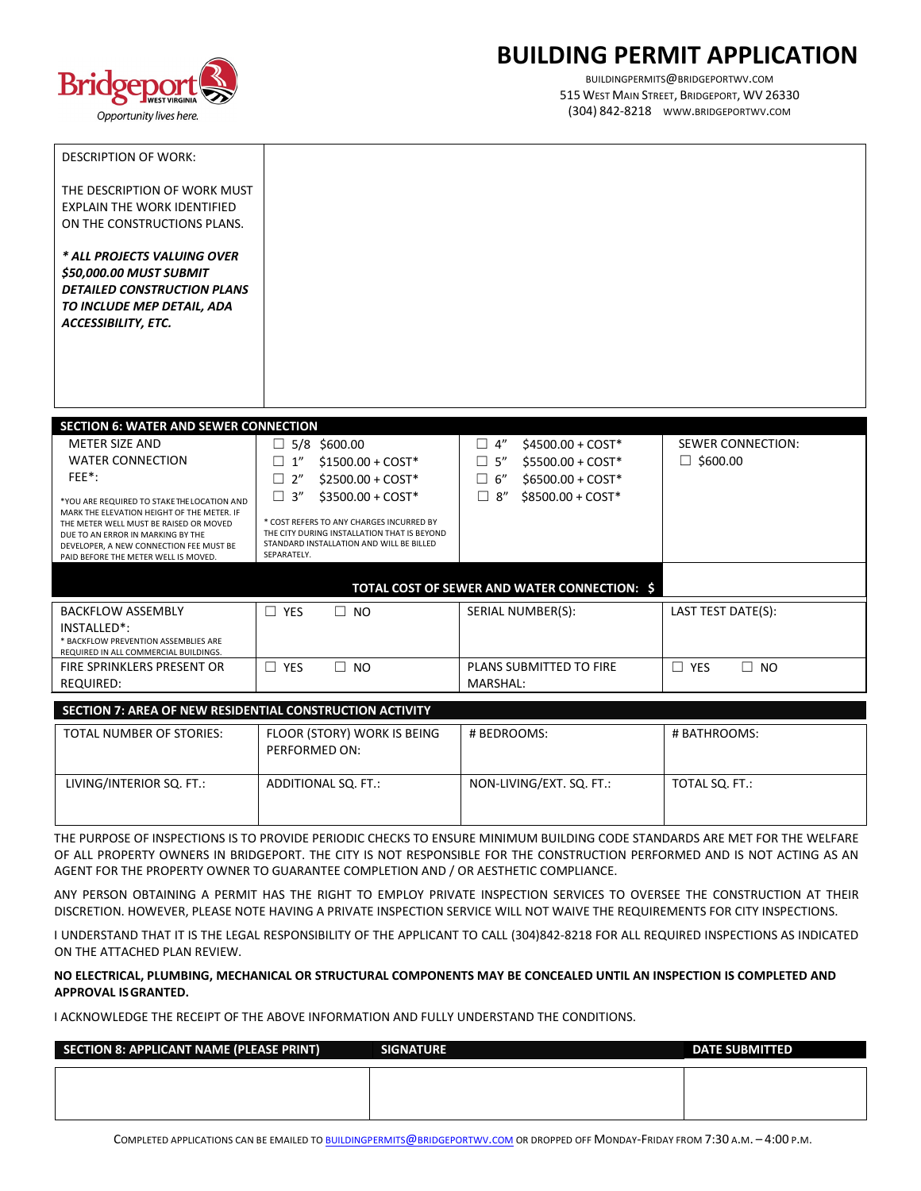

# **BUILDING PERMIT APPLICATION**

BUILDINGPERMITS@BRIDGEPORTWV.COM 515 WEST MAIN STREET, BRIDGEPORT, WV 26330 (304) 842-8218 WWW.BRIDGEPORTWV.COM

| <b>DESCRIPTION OF WORK:</b>                                                                                                                                                                                  |                                                                                                                                                    |                                              |                          |
|--------------------------------------------------------------------------------------------------------------------------------------------------------------------------------------------------------------|----------------------------------------------------------------------------------------------------------------------------------------------------|----------------------------------------------|--------------------------|
| THE DESCRIPTION OF WORK MUST<br><b>EXPLAIN THE WORK IDENTIFIED</b><br>ON THE CONSTRUCTIONS PLANS.                                                                                                            |                                                                                                                                                    |                                              |                          |
| * ALL PROJECTS VALUING OVER<br>\$50,000.00 MUST SUBMIT<br><b>DETAILED CONSTRUCTION PLANS</b><br>TO INCLUDE MEP DETAIL, ADA<br><b>ACCESSIBILITY, ETC.</b>                                                     |                                                                                                                                                    |                                              |                          |
| <b>SECTION 6: WATER AND SEWER CONNECTION</b>                                                                                                                                                                 |                                                                                                                                                    |                                              |                          |
| <b>METER SIZE AND</b>                                                                                                                                                                                        | 5/8 \$600.00                                                                                                                                       | $\Box$ 4"<br>$$4500.00 + COST*$              | <b>SEWER CONNECTION:</b> |
| <b>WATER CONNECTION</b>                                                                                                                                                                                      | $\Box$ 1"<br>$$1500.00 + COST*$                                                                                                                    | $\Box$ 5"<br>$$5500.00 + COST*$              | $\Box$ \$600.00          |
| FEE*:                                                                                                                                                                                                        | 2"<br>$$2500.00 + COST*$<br>$\Box$                                                                                                                 | $$6500.00 + COST*$<br>$\Box$<br>6"           |                          |
| *YOU ARE REQUIRED TO STAKE THE LOCATION AND                                                                                                                                                                  | $\Box$ 3"<br>$$3500.00 + COST*$                                                                                                                    | 8''<br>\$8500.00 + COST*<br>$\Box$           |                          |
| MARK THE ELEVATION HEIGHT OF THE METER. IF<br>THE METER WELL MUST BE RAISED OR MOVED<br>DUE TO AN ERROR IN MARKING BY THE<br>DEVELOPER, A NEW CONNECTION FEE MUST BE<br>PAID BEFORE THE METER WELL IS MOVED. | * COST REFERS TO ANY CHARGES INCURRED BY<br>THE CITY DURING INSTALLATION THAT IS BEYOND<br>STANDARD INSTALLATION AND WILL BE BILLED<br>SEPARATELY. |                                              |                          |
|                                                                                                                                                                                                              |                                                                                                                                                    |                                              |                          |
|                                                                                                                                                                                                              |                                                                                                                                                    | TOTAL COST OF SEWER AND WATER CONNECTION: \$ |                          |
| <b>BACKFLOW ASSEMBLY</b><br>$INSTAIIFD*$                                                                                                                                                                     | $\Box$ YES<br>□<br><b>NO</b>                                                                                                                       | SERIAL NUMBER(S):                            | LAST TEST DATE(S):       |

| <b>DAUNFLUW ASSEIVIDLI</b>            | 1 E.D      | טוו<br>$\overline{\phantom{0}}$ | <b>JENIAL INUIVIDEN(J).</b> | LAJI ILJI DAILIJI. |
|---------------------------------------|------------|---------------------------------|-----------------------------|--------------------|
| INSTALLED <sup>*</sup> :              |            |                                 |                             |                    |
| * BACKFLOW PREVENTION ASSEMBLIES ARE  |            |                                 |                             |                    |
| REQUIRED IN ALL COMMERCIAL BUILDINGS. |            |                                 |                             |                    |
| FIRE SPRINKLERS PRESENT OR            | <b>YES</b> | NO                              | PLANS SUBMITTED TO FIRE     | YES<br>NO.         |
| <b>REQUIRED:</b>                      |            |                                 | MARSHAL:                    |                    |
|                                       |            |                                 |                             |                    |

### **SECTION 7: AREA OF NEW RESIDENTIAL CONSTRUCTION ACTIVITY**

| TOTAL NUMBER OF STORIES: | FLOOR (STORY) WORK IS BEING<br>PERFORMED ON: | # BEDROOMS:              | # BATHROOMS:   |
|--------------------------|----------------------------------------------|--------------------------|----------------|
| LIVING/INTERIOR SQ. FT.: | ADDITIONAL SQ. FT.:                          | NON-LIVING/EXT. SQ. FT.: | TOTAL SQ. FT.: |

THE PURPOSE OF INSPECTIONS IS TO PROVIDE PERIODIC CHECKS TO ENSURE MINIMUM BUILDING CODE STANDARDS ARE MET FOR THE WELFARE OF ALL PROPERTY OWNERS IN BRIDGEPORT. THE CITY IS NOT RESPONSIBLE FOR THE CONSTRUCTION PERFORMED AND IS NOT ACTING AS AN AGENT FOR THE PROPERTY OWNER TO GUARANTEE COMPLETION AND / OR AESTHETIC COMPLIANCE.

ANY PERSON OBTAINING A PERMIT HAS THE RIGHT TO EMPLOY PRIVATE INSPECTION SERVICES TO OVERSEE THE CONSTRUCTION AT THEIR DISCRETION. HOWEVER, PLEASE NOTE HAVING A PRIVATE INSPECTION SERVICE WILL NOT WAIVE THE REQUIREMENTS FOR CITY INSPECTIONS.

I UNDERSTAND THAT IT IS THE LEGAL RESPONSIBILITY OF THE APPLICANT TO CALL (304)842-8218 FOR ALL REQUIRED INSPECTIONS AS INDICATED ON THE ATTACHED PLAN REVIEW.

### **NO ELECTRICAL, PLUMBING, MECHANICAL OR STRUCTURAL COMPONENTS MAY BE CONCEALED UNTIL AN INSPECTION IS COMPLETED AND APPROVAL ISGRANTED.**

I ACKNOWLEDGE THE RECEIPT OF THE ABOVE INFORMATION AND FULLY UNDERSTAND THE CONDITIONS.

| SECTION 8: APPLICANT NAME (PLEASE PRINT) | <b>SIGNATURE</b> | <b>DATE SUBMITTED</b> |
|------------------------------------------|------------------|-----------------------|
|                                          |                  |                       |
|                                          |                  |                       |
|                                          |                  |                       |